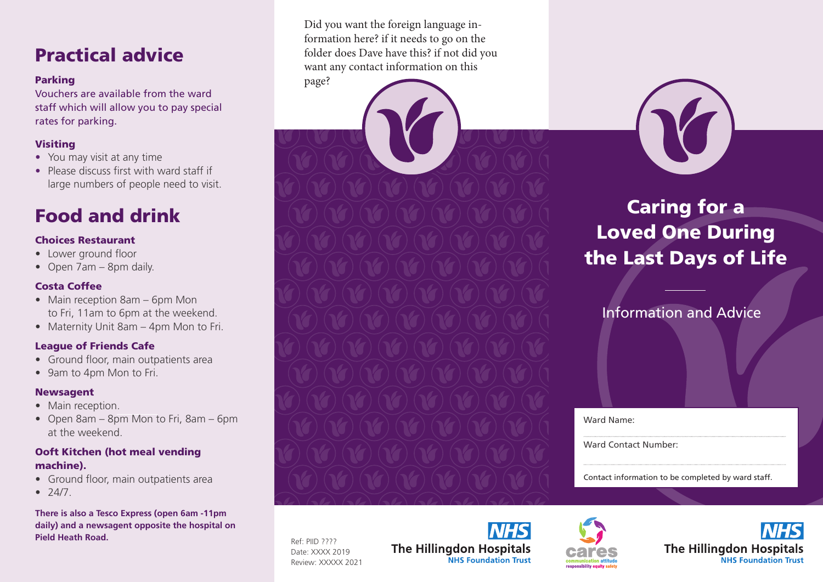## Practical advice

### Parking

Vouchers are available from the ward staff which will allow you to pay special rates for parking.

### Visiting

- You may visit at any time
- Please discuss first with ward staff if large numbers of people need to visit.

## Food and drink

### Choices Restaurant

- Lower ground floor
- Open 7am 8pm daily.

### Costa Coffee

- Main reception 8am 6pm Mon to Fri, 11am to 6pm at the weekend.
- Maternity Unit 8am 4pm Mon to Fri.

### League of Friends Cafe

- Ground floor, main outpatients area
- 9am to 4pm Mon to Fri.

### Newsagent

- Main reception.
- Open 8am 8pm Mon to Fri, 8am 6pm at the weekend.

### Ooft Kitchen (hot meal vending machine).

- Ground floor, main outpatients area
- $74/7.$

**There is also a Tesco Express (open 6am -11pm daily) and a newsagent opposite the hospital on Pield Heath Road.**

Did you want the foreign language information here? if it needs to go on the folder does Dave have this? if not did you want any contact information on this

page?

# Caring for a Loved One During the Last Days of Life

### Information and Advice

Ward Name:

Ward Contact Number:

Contact information to be completed by ward staff.

Ref: PIID ???? Date: XXXX 2019 Review: XXXXX 2021

**NHS The Hillingdon Hospitals NHS Foundation Trust**